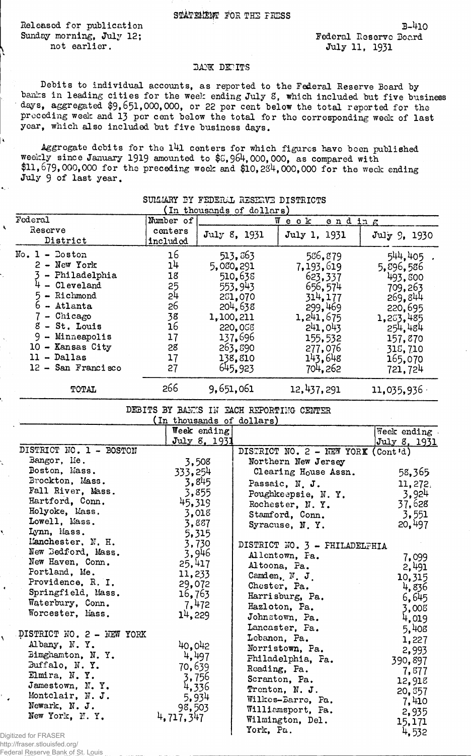Eeleased for publication Sunday morning, July 12; not earlier.

 $\ddot{\bullet}$ 

À

Ń,

Ń

 $B-410$ Federal Reserve Board July 11, 1931

## **BANK DEDITS**

Debits to individual accounts, as reported to the Federal Reserve Board by banks in leading cities for the week ending July 8, which included but five business days, aggregated \$9, 651\*000, 000, or 22 per cent below the total reported for the preceding week and 13 per cent below the total for the corresponding week of last year, which also included but five business days.

Aggregate debits for the 141 centers for which figures have been published weekly since January 1919 amounted to \$8,964,000,000, as compared with \$11, 679, 000, 000 for the preceding week and \$10, 234,000,000 for the week ending July 9 of last year.

|                           | SUMMARY BY FEDERLI RESERVE DISTRICTS |                                    | (In thousands of dollars) |                                          |                             |  |
|---------------------------|--------------------------------------|------------------------------------|---------------------------|------------------------------------------|-----------------------------|--|
| Federal                   | Number of                            |                                    |                           | $W$ e o $k$<br>ending                    |                             |  |
| Reserve                   | centers                              |                                    |                           |                                          |                             |  |
| District                  | included                             |                                    | July 8, 1931              | July 1, 1931                             | July 9, 1930                |  |
| $No. 1 - Doston$          | 16                                   |                                    | 513,863                   | 586,879                                  | 544,405                     |  |
| $2 - New York$            | 1 <sup>1</sup>                       |                                    | 5,080.291                 | 7,193,619                                | 5,896,586                   |  |
| - Philadelphia            | 18                                   |                                    | 510,638                   | 623,337                                  | 493,800                     |  |
| $4 - C1$ eveland          | 25                                   |                                    | 553,943                   | 656,574                                  | 709,263                     |  |
| 5<br>$-$ Richmond         | 2 <sup>I</sup>                       |                                    | 281,070                   | 314, 177                                 | 269,844                     |  |
| $6 -$ Atlanta             | 26                                   |                                    | 204,638                   | 299,469                                  | 220,695                     |  |
| $7$ - Chicago             | 38                                   |                                    | 1,100,211                 | 1,241,675                                | 1,253,485                   |  |
| 8 - St. Louis             | 16                                   |                                    | 220,058                   | 241,043                                  | 254,484                     |  |
| $9 -$ Minneapolis         | 17                                   |                                    | 137,696                   | 155,532                                  | 157,870                     |  |
| 10 - Kansas City          | 28                                   |                                    | 263,890                   | 277,076                                  |                             |  |
| $11 - Dallas$             | 17                                   |                                    | 138,810                   | 143,648                                  | 318,710                     |  |
| 12 - San Francisco        | 27                                   |                                    | 645,923                   |                                          | 165,070                     |  |
|                           |                                      |                                    |                           | 704,262                                  | 721,724                     |  |
| TOTAL                     | 266                                  | 9,651,061                          |                           | 12, 437, 291                             | 11,035,936                  |  |
|                           |                                      |                                    |                           | DEBITS BY BANKS IN EACH REPORTING CENTER |                             |  |
|                           |                                      |                                    | (In thousands of dollars) |                                          |                             |  |
|                           |                                      | Week ending<br><u>July 8, 1931</u> |                           |                                          | Week ending<br>July 8, 1931 |  |
| DISTRICT NO. 1 - BOSTON   |                                      |                                    |                           | DISTRICT NO. 2 - NEW YORK (Cont'd)       |                             |  |
| Bangor, Lie.              |                                      | 3,508                              |                           | Northern New Jersey                      |                             |  |
| Boston, Mass.             | 333,254                              |                                    |                           | Clearing House Assn.                     | 58,365                      |  |
| Brockton, Mass.           |                                      | 3,845                              |                           | Passaic, N. J.                           | 11,272,                     |  |
| Fall River, Mass.         |                                      | 3,855                              |                           | Poughkeepsie, N.Y.                       | 3,924                       |  |
| Hartford, Conn.           | 45,319                               |                                    |                           | Rochester, N.Y.                          | 37,628                      |  |
| Holyoke, Mass.            |                                      | 3,018                              |                           | Stamford, Conn.                          | 3,551                       |  |
| Lowell, Mass.             |                                      | 3,887                              |                           | Syracuse, N.Y.                           | 20,497                      |  |
| Lynn, Mass.               |                                      | 5,315                              |                           |                                          |                             |  |
| L'anchester, N. H.        |                                      | 3,730                              |                           | DISTRICT NO. 3 - FHILADELFHIA            |                             |  |
| New Bedford, Mass.        |                                      | 3,946                              |                           | Allentown, Fa.                           | 7,099                       |  |
| New Haven, Conn.          | 25,417                               |                                    |                           | Altoona, Pa.                             | 2,491                       |  |
| Portland, Me.             | 11,233                               |                                    |                           | Camden, $N$ J.                           |                             |  |
| Providence, R. I.         | 29,072                               |                                    |                           | Chester, Pa.                             | 10,315<br>4,836             |  |
| Springfield, Mass.        | 16,763                               |                                    |                           | Harrisburg, Pa.                          |                             |  |
| Waterbury, Conn.          |                                      | 7,472                              |                           | Hazloton, Pa.                            | 6,645                       |  |
| Worcester, Mass.          | 14,229                               |                                    |                           | Johnstown, Pa.                           | 3,008                       |  |
|                           |                                      |                                    |                           | Lancaster, Pa.                           | 4,019                       |  |
| DISTRICT NO. 2 - NEW YORK |                                      |                                    |                           | Lebanon, Pa.                             | 5,408                       |  |
| Albany, N.Y.              | 40,042                               |                                    |                           | Norristown, Pa.                          | 1,227                       |  |
| Bimghamton, N.Y.          | 4,497                                |                                    |                           | Fhiladelphia, Fa.                        | 2,993                       |  |
| Buffalo, N.Y.             | 70,639                               |                                    |                           | Reading, Pa.                             | 390,897                     |  |
| Elmira, N.Y.              |                                      | 3,756                              |                           | Scranton, Pa.                            | 7,877                       |  |
| Jamestown, N.Y.           | 4,336                                |                                    |                           |                                          | 12,918                      |  |
| Montclair, N. J.          | 5,934                                |                                    |                           | Trenton, N. J.                           | 20,557                      |  |
| Newark, N. J.             | 98,503                               |                                    |                           | Wilkes-Barre, Pa.                        | 7,410                       |  |
| New York, N.Y.            | 4,717,347                            |                                    |                           | Williamsport, Pa.                        | 2,935                       |  |
|                           |                                      |                                    |                           | Wilmington, Del.                         | 15,171                      |  |
|                           |                                      |                                    | York, Pa.                 |                                          | 4.532                       |  |

SUMMARY BY FEDERAL RESERVE DISTRICTS

Digitized for FRASER

http://fraser.stlouisfed.org/

Federal Reserve Bank of St. Louis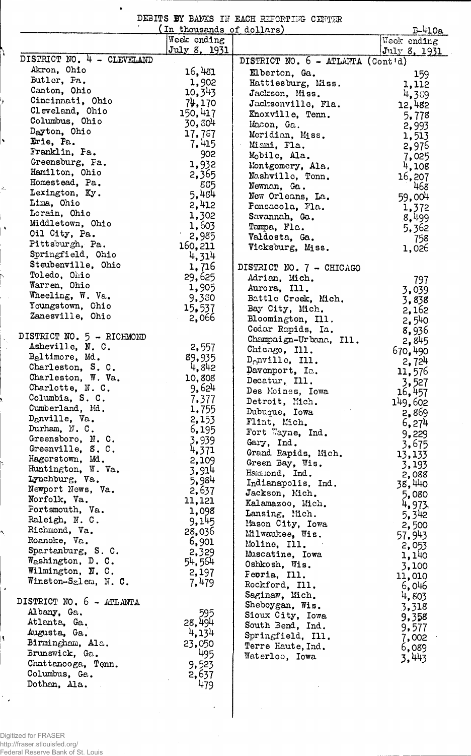| DEBITS BY BANKS IN EACH REFORTING CENTER |  |  |  |  |
|------------------------------------------|--|--|--|--|
|                                          |  |  |  |  |

|                               | (In thousands of dollars) |                                       | $D-410a$               |
|-------------------------------|---------------------------|---------------------------------------|------------------------|
|                               | Week ending               |                                       | Week ending            |
| DISTRICT NO. 4 - CLEVELAND    | July 8, 1931              |                                       | $\text{July } 8, 1931$ |
| Akron, Ohio                   | 16,481                    | DISTRICT NO. 6 - ATLANTA (Cont'd)     |                        |
| Butler, Pa.                   | 1,902                     | Elberton, Ga.                         | 159                    |
| Canton, Ohio                  | 10,343                    | Hattiesburg, Miss.                    | 1,112                  |
| Cincinnati, Ohio              | $7\frac{1}{2}$ , 170      | Jackson, Miss.<br>Jacksonville, Fla.  | 4,389                  |
| Cleveland, Ohio               | 150,417                   | Knoxville, Tenn.                      | 12,482                 |
| Columbus, Ohio                | 30,804                    | Macon, Ga.                            | 5,778                  |
| Dayton, Ohio                  | 17,787                    | Meridian, Miss.                       | 2,993                  |
| Erie, Pa.                     | 7,415                     | Miami, Fla.                           | 1,513<br>2,976         |
| Franklin, Fa.                 | 902                       | Mobile, Ala.                          | 7,025                  |
| Greensburg, Fa.               | 1,932                     | Montgomery, Ala.                      | 4,108                  |
| Hamilton, Ohio                | 2,365                     | Nashville, Tenn.                      | 16,207                 |
| Homestead, Pa.                | 885                       | Newman, Ga.                           | 468                    |
| Lexington, Ky.                | 5,484                     | New Orleans, La.                      | 59,004                 |
| Lima, Ohio                    | 2,412                     | Fonsacola, Fla.                       | 1,372                  |
| Lorain, Ohio                  | 1,302                     | Savannah, Ga.                         | 8,499                  |
| Middletown, Ohio              | 1,603                     | Tampa, Fla.                           | 5,362                  |
| Oil City, Pa.                 | 2,985                     | Valdosta, Ga.                         | 758                    |
| Pittsburgh, Pa.               | 160, 211                  | Vicksburg, Miss.                      | 1,026                  |
| Springfield, Ohio             | 4,314                     |                                       |                        |
| Steubenville, Ohio            | 1,716                     | DISTRICT NO. 7 - CHICAGO              |                        |
| Toledo, Ohio                  | 29,625                    | Adrian, Mich.                         | 797                    |
| Warren, Ohio                  | 1,905                     | Aurora, Ill.                          | 3,039                  |
| Wheeling, W. Va.              | 9,350                     | Battle Creek, Mich.                   | 3,838                  |
| Youngstown, Ohio              | 15,537                    | Bay City, Mich.                       | 2,162                  |
| Zanesville, Ohio              | 2,066                     | Bloomington, Ill.                     | 2,540                  |
| DISTRICT NO. 5 - RICHMOND     |                           | Cedar Rapids, Ia.                     | 8,936                  |
| Asheville, N. C.              | 2,557                     | Champaign-Urbana, Ill.                | 2,845                  |
| Baltimore, Md.                | 89,935                    | Chicago, Ill.                         | 670,490                |
| Charleston, S.C.              | 4,842                     | $D_{\Omega}$ nville, Ill.             | 2,724                  |
| Charleston, W. Va.            | 10,808                    | Davenport, Ia.                        | 11,576                 |
| Charlotte, N. C.              | 9,624                     | Decatur, Ill.<br>Des Moines, Iowa     | 3,527                  |
| Columbia, S. C.               | 7,377                     |                                       | 16,457                 |
| Cumberland, Md.               | 1,755                     | Detroit, Mich.<br>Dubuque, Iowa       | 149,602                |
| D <sub>a</sub> nville, Va.    | 2,153                     | Flint, Mich.                          | 2,869                  |
| Durham, N.C.                  | 6,195                     | Fort Wayne, Ind.                      | 6,274                  |
| Greensboro, N.C.              | 3,939                     | Gary, Ind.                            | 9,229                  |
| Greenville, S.C.              | 4,371                     | Grand Rapids, Mich.                   | 3,675<br>13,133        |
| Hagerstown, Md.               | 2,109                     | Green Bay, Wis.                       | 3,193                  |
| Huntington, W. Va.            | 3,914                     | Hammond, Ind.                         | 2,088                  |
| Lynchburg, Va.                | 5,984                     | Indianapolis, Ind.                    | 38,440                 |
| Newport News, Va.             | 2,637                     | Jackson, Mich.                        | 5,080                  |
| Norfolk, Va.                  | 11,121                    | Kalamazoo, Mich.                      | 4,973                  |
| Fortsmouth, Va.               | 1,098                     | Lansing, Mich.                        | 5,342                  |
| Raleigh, N. C.                | 9,145                     | Mason City, Iowa                      | 2,500                  |
| Richmond, Va.<br>Roanoke, Va. | 28,036                    | Milwaukee, Wis.                       | 57.943                 |
| Spartanburg, S. C.            | 6,901                     | Moline, Ill.                          | 2,053                  |
| Washington, D. C.             | 2,329<br>54,564           | Muscatine, Iowa                       | 1,140                  |
| Wilmington, N. C.             | 2,197                     | Oshkosh, Wis.                         | 3,100                  |
| Winston-Salem, N. C.          | 7,479                     | Feoria, Ill.                          | 11,010                 |
|                               |                           | Rockford, Ill.                        | 6,046                  |
| DISTRICT NO. 6 - ATLANTA      |                           | Saginaw, Mich.                        | 4,803                  |
| Albany, Ga.                   | 595                       | Sheboygan, Wis.                       | 3,318                  |
| Atlanta, Ga.                  | 28,494                    | Sioux City, Iowa                      | 9,358                  |
| Augusta, Ga.                  | 4,134                     | South Bend, Ind.<br>Springfield, Ill. | 9,577                  |
| Birmingham, Ala.              | 23,050                    | Terre Haute, Ind.                     | 7,002                  |
| Brunswick, Ga.                | 495                       | Waterloo, Iowa                        | 6,089                  |
| Chattanooga, Tenn.            | 9,523                     |                                       | 3,443                  |
| Columbus, Ga.                 | 2,637                     |                                       |                        |
| Dothan, Ala.                  | 479                       |                                       |                        |

 $\vert$ 

Digitized for FRASER http://fraser.stlouisfed.org/ Federal Reserve Bank of St. Louis

٦

١

 $\frac{2}{\pi}$ 

 $\ddot{\phantom{0}}$ 

Ń

 $\bar{\epsilon}$ 

 $\vert \vert$ 

 $\frac{1}{\sqrt{2}}$